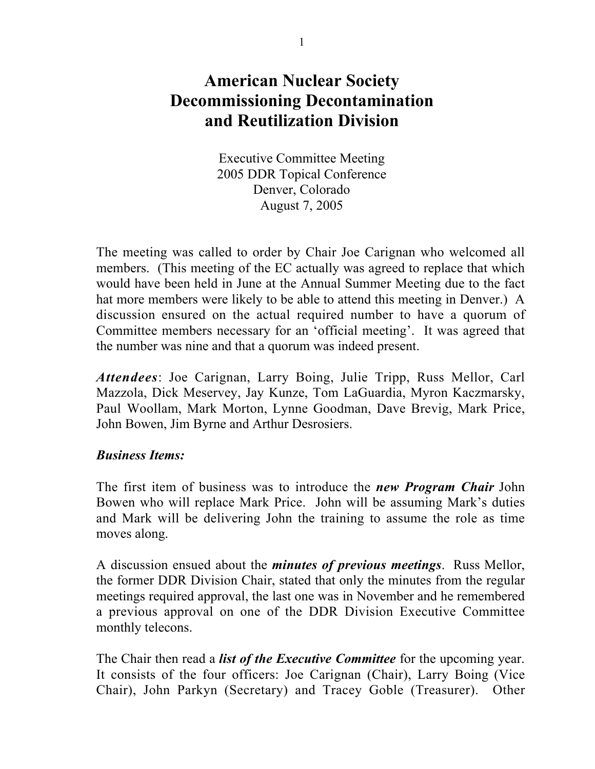# American Nuclear Society Decommissioning Decontamination and Reutilization Division

Executive Committee Meeting 2005 DDR Topical Conference Denver, Colorado August 7, 2005

The meeting was called to order by Chair Joe Carignan who welcomed all members. (This meeting of the EC actually was agreed to replace that which would have been held in June at the Annual Summer Meeting due to the fact hat more members were likely to be able to attend this meeting in Denver.) A discussion ensured on the actual required number to have a quorum of Committee members necessary for an 'official meeting'. It was agreed that the number was nine and that a quorum was indeed present.

*Attendees*: Joe Carignan, Larry Boing, Julie Tripp, Russ Mellor, Carl Mazzola, Dick Meservey, Jay Kunze, Tom LaGuardia, Myron Kaczmarsky, Paul Woollam, Mark Morton, Lynne Goodman, Dave Brevig, Mark Price, John Bowen, Jim Byrne and Arthur Desrosiers.

### *Business Items:*

The first item of business was to introduce the *new Program Chair* John Bowen who will replace Mark Price. John will be assuming Mark's duties and Mark will be delivering John the training to assume the role as time moves along.

A discussion ensued about the *minutes of previous meetings*. Russ Mellor, the former DDR Division Chair, stated that only the minutes from the regular meetings required approval, the last one was in November and he remembered a previous approval on one of the DDR Division Executive Committee monthly telecons.

The Chair then read a *list of the Executive Committee* for the upcoming year. It consists of the four officers: Joe Carignan (Chair), Larry Boing (Vice Chair), John Parkyn (Secretary) and Tracey Goble (Treasurer). Other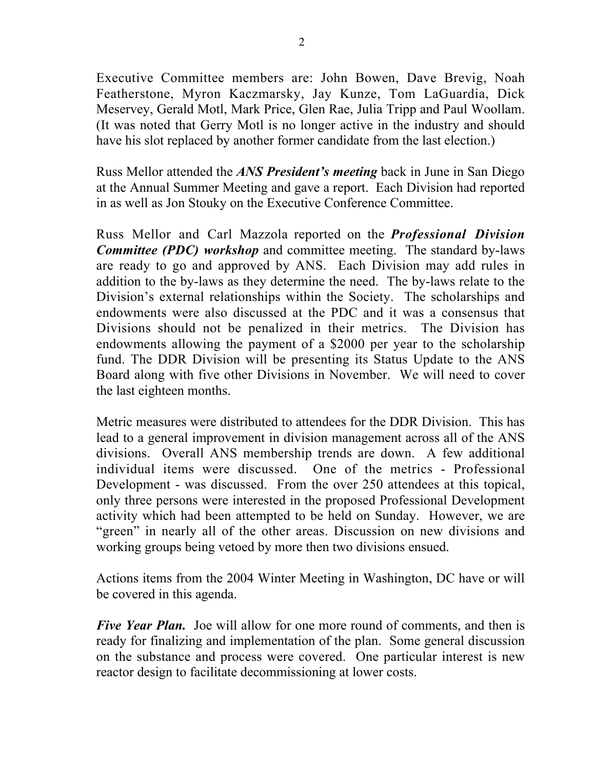Executive Committee members are: John Bowen, Dave Brevig, Noah Featherstone, Myron Kaczmarsky, Jay Kunze, Tom LaGuardia, Dick Meservey, Gerald Motl, Mark Price, Glen Rae, Julia Tripp and Paul Woollam. (It was noted that Gerry Motl is no longer active in the industry and should have his slot replaced by another former candidate from the last election.)

Russ Mellor attended the *ANS President's meeting* back in June in San Diego at the Annual Summer Meeting and gave a report. Each Division had reported in as well as Jon Stouky on the Executive Conference Committee.

Russ Mellor and Carl Mazzola reported on the *Professional Division Committee (PDC) workshop* and committee meeting. The standard by-laws are ready to go and approved by ANS. Each Division may add rules in addition to the by-laws as they determine the need. The by-laws relate to the Division's external relationships within the Society. The scholarships and endowments were also discussed at the PDC and it was a consensus that Divisions should not be penalized in their metrics. The Division has endowments allowing the payment of a \$2000 per year to the scholarship fund. The DDR Division will be presenting its Status Update to the ANS Board along with five other Divisions in November. We will need to cover the last eighteen months.

Metric measures were distributed to attendees for the DDR Division. This has lead to a general improvement in division management across all of the ANS divisions. Overall ANS membership trends are down. A few additional individual items were discussed. One of the metrics - Professional Development - was discussed. From the over 250 attendees at this topical, only three persons were interested in the proposed Professional Development activity which had been attempted to be held on Sunday. However, we are "green" in nearly all of the other areas. Discussion on new divisions and working groups being vetoed by more then two divisions ensued.

Actions items from the 2004 Winter Meeting in Washington, DC have or will be covered in this agenda.

*Five Year Plan.* Joe will allow for one more round of comments, and then is ready for finalizing and implementation of the plan. Some general discussion on the substance and process were covered. One particular interest is new reactor design to facilitate decommissioning at lower costs.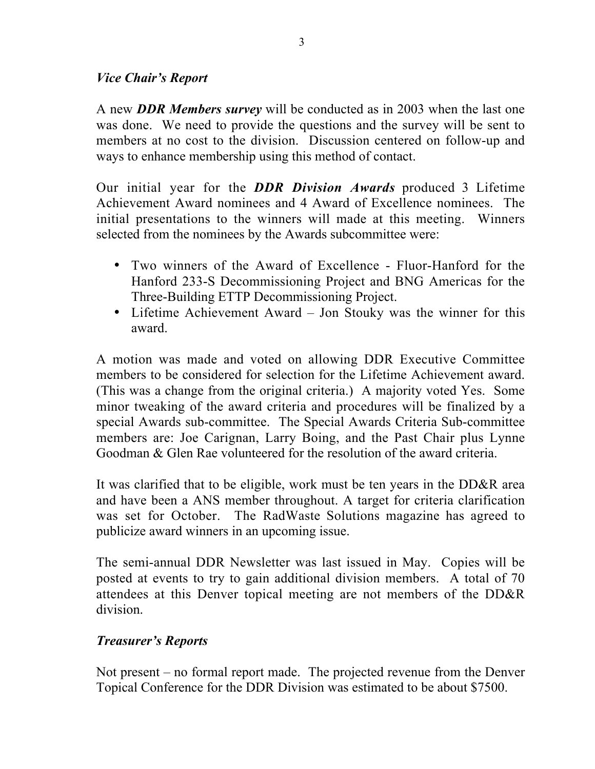### *Vice Chair's Report*

A new *DDR Members survey* will be conducted as in 2003 when the last one was done. We need to provide the questions and the survey will be sent to members at no cost to the division. Discussion centered on follow-up and ways to enhance membership using this method of contact.

Our initial year for the *DDR Division Awards* produced 3 Lifetime Achievement Award nominees and 4 Award of Excellence nominees. The initial presentations to the winners will made at this meeting. Winners selected from the nominees by the Awards subcommittee were:

- Two winners of the Award of Excellence Fluor-Hanford for the Hanford 233-S Decommissioning Project and BNG Americas for the Three-Building ETTP Decommissioning Project.
- Lifetime Achievement Award Jon Stouky was the winner for this award.

A motion was made and voted on allowing DDR Executive Committee members to be considered for selection for the Lifetime Achievement award. (This was a change from the original criteria.) A majority voted Yes. Some minor tweaking of the award criteria and procedures will be finalized by a special Awards sub-committee. The Special Awards Criteria Sub-committee members are: Joe Carignan, Larry Boing, and the Past Chair plus Lynne Goodman & Glen Rae volunteered for the resolution of the award criteria.

It was clarified that to be eligible, work must be ten years in the DD&R area and have been a ANS member throughout. A target for criteria clarification was set for October. The RadWaste Solutions magazine has agreed to publicize award winners in an upcoming issue.

The semi-annual DDR Newsletter was last issued in May. Copies will be posted at events to try to gain additional division members. A total of 70 attendees at this Denver topical meeting are not members of the DD&R division.

### *Treasurer's Reports*

Not present – no formal report made. The projected revenue from the Denver Topical Conference for the DDR Division was estimated to be about \$7500.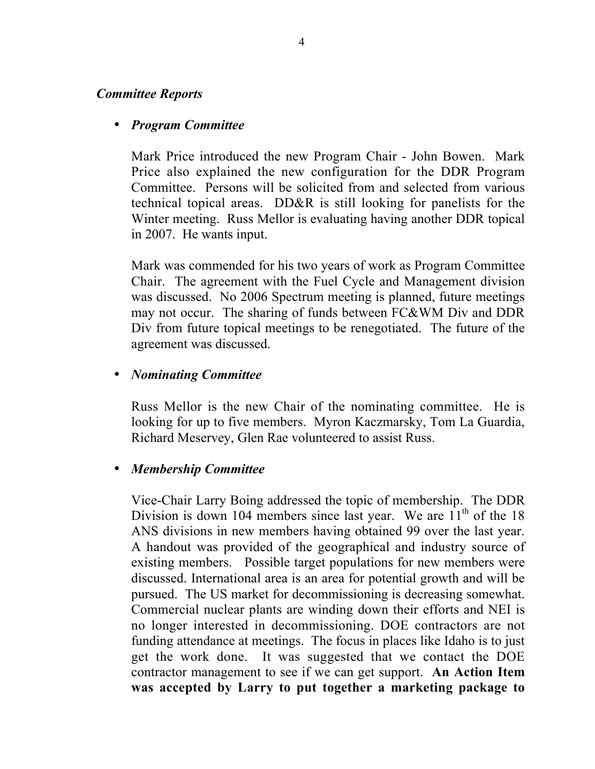#### *Committee Reports*

#### • *Program Committee*

Mark Price introduced the new Program Chair - John Bowen. Mark Price also explained the new configuration for the DDR Program Committee. Persons will be solicited from and selected from various technical topical areas. DD&R is still looking for panelists for the Winter meeting. Russ Mellor is evaluating having another DDR topical in 2007. He wants input.

Mark was commended for his two years of work as Program Committee Chair. The agreement with the Fuel Cycle and Management division was discussed. No 2006 Spectrum meeting is planned, future meetings may not occur. The sharing of funds between FC&WM Div and DDR Div from future topical meetings to be renegotiated. The future of the agreement was discussed.

#### • *Nominating Committee*

Russ Mellor is the new Chair of the nominating committee. He is looking for up to five members. Myron Kaczmarsky, Tom La Guardia, Richard Meservey, Glen Rae volunteered to assist Russ.

#### • *Membership Committee*

Vice-Chair Larry Boing addressed the topic of membership. The DDR Division is down 104 members since last year. We are  $11<sup>th</sup>$  of the 18 ANS divisions in new members having obtained 99 over the last year. A handout was provided of the geographical and industry source of existing members. Possible target populations for new members were discussed. International area is an area for potential growth and will be pursued. The US market for decommissioning is decreasing somewhat. Commercial nuclear plants are winding down their efforts and NEI is no longer interested in decommissioning. DOE contractors are not funding attendance at meetings. The focus in places like Idaho is to just get the work done. It was suggested that we contact the DOE contractor management to see if we can get support. An Action Item was accepted by Larry to put together a marketing package to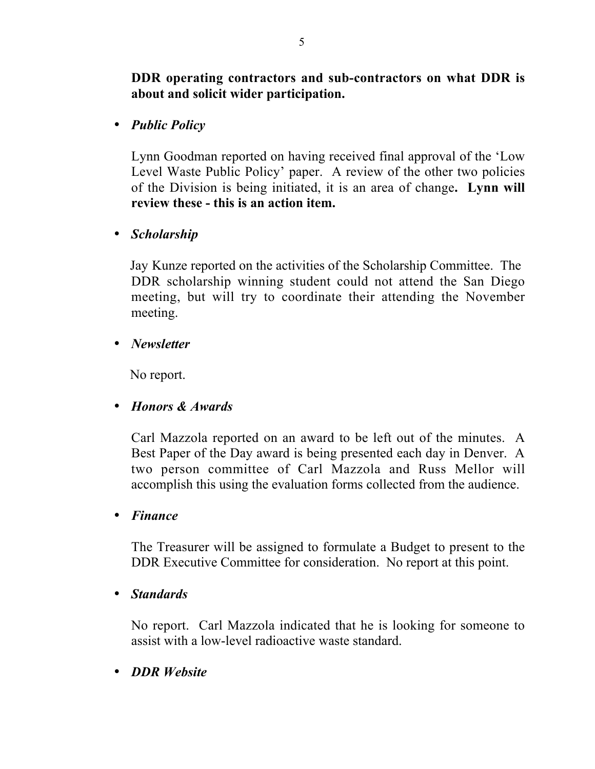# DDR operating contractors and sub-contractors on what DDR is about and solicit wider participation.

• *Public Policy*

Lynn Goodman reported on having received final approval of the 'Low Level Waste Public Policy' paper. A review of the other two policies of the Division is being initiated, it is an area of change. Lynn will review these - this is an action item.

• *Scholarship*

 Jay Kunze reported on the activities of the Scholarship Committee. The DDR scholarship winning student could not attend the San Diego meeting, but will try to coordinate their attending the November meeting.

• *Newsletter*

No report.

• *Honors & Awards*

Carl Mazzola reported on an award to be left out of the minutes. A Best Paper of the Day award is being presented each day in Denver. A two person committee of Carl Mazzola and Russ Mellor will accomplish this using the evaluation forms collected from the audience.

• *Finance*

The Treasurer will be assigned to formulate a Budget to present to the DDR Executive Committee for consideration. No report at this point.

• *Standards*

No report. Carl Mazzola indicated that he is looking for someone to assist with a low-level radioactive waste standard.

• *DDR Website*